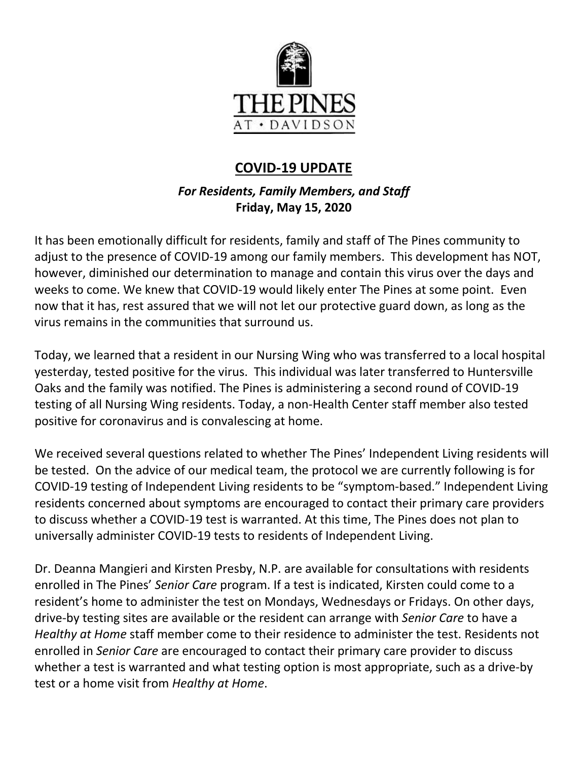

# **COVID-19 UPDATE**

# *For Residents, Family Members, and Staff* **Friday, May 15, 2020**

It has been emotionally difficult for residents, family and staff of The Pines community to adjust to the presence of COVID-19 among our family members. This development has NOT, however, diminished our determination to manage and contain this virus over the days and weeks to come. We knew that COVID-19 would likely enter The Pines at some point. Even now that it has, rest assured that we will not let our protective guard down, as long as the virus remains in the communities that surround us.

Today, we learned that a resident in our Nursing Wing who was transferred to a local hospital yesterday, tested positive for the virus. This individual was later transferred to Huntersville Oaks and the family was notified. The Pines is administering a second round of COVID-19 testing of all Nursing Wing residents. Today, a non-Health Center staff member also tested positive for coronavirus and is convalescing at home.

We received several questions related to whether The Pines' Independent Living residents will be tested. On the advice of our medical team, the protocol we are currently following is for COVID-19 testing of Independent Living residents to be "symptom-based." Independent Living residents concerned about symptoms are encouraged to contact their primary care providers to discuss whether a COVID-19 test is warranted. At this time, The Pines does not plan to universally administer COVID-19 tests to residents of Independent Living.

Dr. Deanna Mangieri and Kirsten Presby, N.P. are available for consultations with residents enrolled in The Pines' *Senior Care* program. If a test is indicated, Kirsten could come to a resident's home to administer the test on Mondays, Wednesdays or Fridays. On other days, drive-by testing sites are available or the resident can arrange with *Senior Care* to have a *Healthy at Home* staff member come to their residence to administer the test. Residents not enrolled in *Senior Care* are encouraged to contact their primary care provider to discuss whether a test is warranted and what testing option is most appropriate, such as a drive-by test or a home visit from *Healthy at Home*.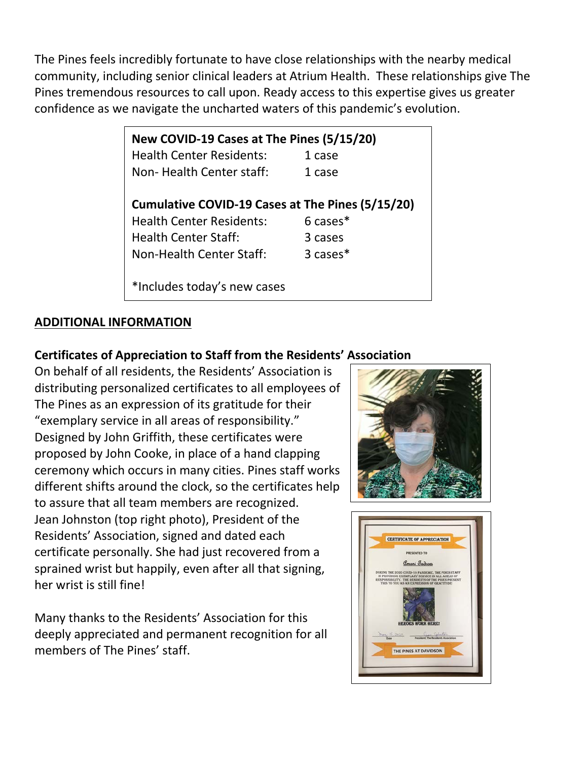The Pines feels incredibly fortunate to have close relationships with the nearby medical community, including senior clinical leaders at Atrium Health. These relationships give The Pines tremendous resources to call upon. Ready access to this expertise gives us greater confidence as we navigate the uncharted waters of this pandemic's evolution.

| New COVID-19 Cases at The Pines (5/15/20)        |                     |
|--------------------------------------------------|---------------------|
| <b>Health Center Residents:</b>                  | 1 case              |
| Non-Health Center staff:                         | 1 case              |
|                                                  |                     |
| Cumulative COVID-19 Cases at The Pines (5/15/20) |                     |
| <b>Health Center Residents:</b>                  | $6 \text{ cases}^*$ |
| <b>Health Center Staff:</b>                      | 3 cases             |
| Non-Health Center Staff:                         | $3 \text{ cases}^*$ |
|                                                  |                     |
| *Includes today's new cases                      |                     |

# **ADDITIONAL INFORMATION**

### **Certificates of Appreciation to Staff from the Residents' Association**

On behalf of all residents, the Residents' Association is distributing personalized certificates to all employees of The Pines as an expression of its gratitude for their "exemplary service in all areas of responsibility." Designed by John Griffith, these certificates were proposed by John Cooke, in place of a hand clapping ceremony which occurs in many cities. Pines staff works different shifts around the clock, so the certificates help to assure that all team members are recognized. Jean Johnston (top right photo), President of the Residents' Association, signed and dated each certificate personally. She had just recovered from a sprained wrist but happily, even after all that signing, her wrist is still fine!

Many thanks to the Residents' Association for this deeply appreciated and permanent recognition for all members of The Pines' staff.



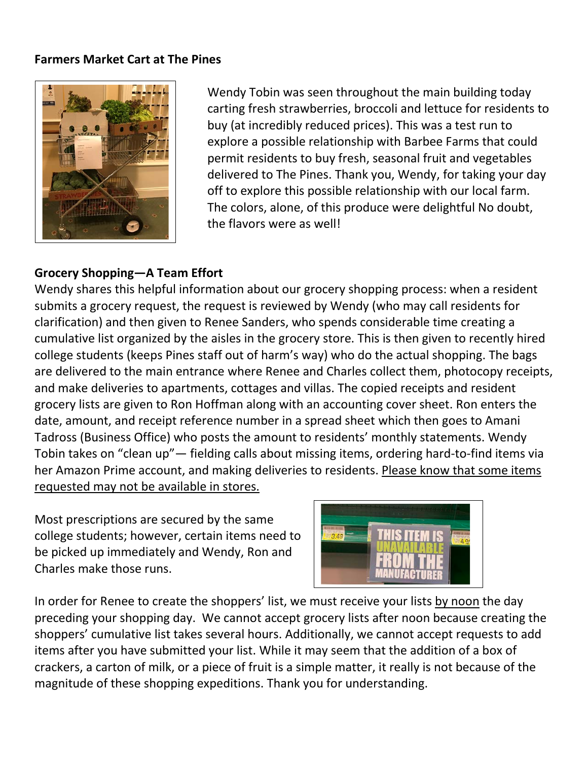#### **Farmers Market Cart at The Pines**



Wendy Tobin was seen throughout the main building today carting fresh strawberries, broccoli and lettuce for residents to buy (at incredibly reduced prices). This was a test run to explore a possible relationship with Barbee Farms that could permit residents to buy fresh, seasonal fruit and vegetables delivered to The Pines. Thank you, Wendy, for taking your day off to explore this possible relationship with our local farm. The colors, alone, of this produce were delightful No doubt, the flavors were as well!

#### **Grocery Shopping—A Team Effort**

Wendy shares this helpful information about our grocery shopping process: when a resident submits a grocery request, the request is reviewed by Wendy (who may call residents for clarification) and then given to Renee Sanders, who spends considerable time creating a cumulative list organized by the aisles in the grocery store. This is then given to recently hired college students (keeps Pines staff out of harm's way) who do the actual shopping. The bags are delivered to the main entrance where Renee and Charles collect them, photocopy receipts, and make deliveries to apartments, cottages and villas. The copied receipts and resident grocery lists are given to Ron Hoffman along with an accounting cover sheet. Ron enters the date, amount, and receipt reference number in a spread sheet which then goes to Amani Tadross (Business Office) who posts the amount to residents' monthly statements. Wendy Tobin takes on "clean up"— fielding calls about missing items, ordering hard-to-find items via her Amazon Prime account, and making deliveries to residents. Please know that some items requested may not be available in stores.

Most prescriptions are secured by the same college students; however, certain items need to be picked up immediately and Wendy, Ron and Charles make those runs.



In order for Renee to create the shoppers' list, we must receive your lists by noon the day preceding your shopping day. We cannot accept grocery lists after noon because creating the shoppers' cumulative list takes several hours. Additionally, we cannot accept requests to add items after you have submitted your list. While it may seem that the addition of a box of crackers, a carton of milk, or a piece of fruit is a simple matter, it really is not because of the magnitude of these shopping expeditions. Thank you for understanding.